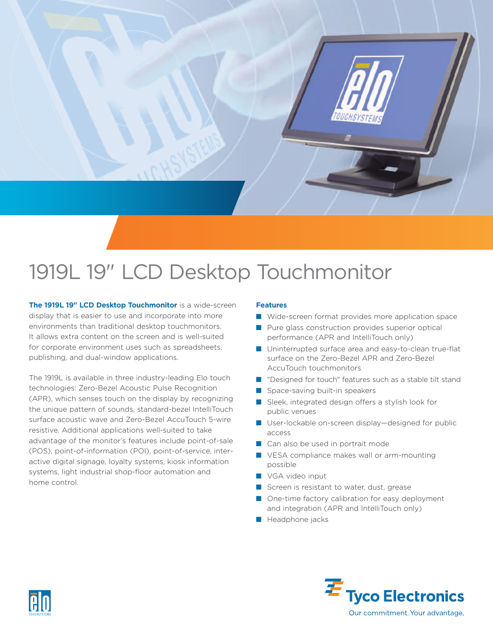

# 1919L 19" LCD Desktop Touchmonitor

**The 1919L 19" LCD Desktop Touchmonitor** is a wide-screen display that is easier to use and incorporate into more environments than traditional desktop touchmonitors. It allows extra content on the screen and is well-suited for corporate environment uses such as spreadsheets, publishing, and dual-window applications.

The 1919L is available in three industry-leading Elo touch technologies: Zero-Bezel Acoustic Pulse Recognition (APR), which senses touch on the display by recognizing the unique pattern of sounds, standard-bezel IntelliTouch surface acoustic wave and Zero-Bezel AccuTouch 5-wire resistive. Additional applications well-suited to take advantage of the monitor's features include point-of-sale (POS), point-of-information (POI), point-of-service, interactive digital signage, loyalty systems, kiosk information systems, light industrial shop-floor automation and home control.

### **Features**

- Wide-screen format provides more application space
- Pure glass construction provides superior optical performance (APR and IntelliTouch only)
- Uninterrupted surface area and easy-to-clean true-flat surface on the Zero-Bezel APR and Zero-Bezel AccuTouch touchmonitors
- "Designed for touch" features such as a stable tilt stand
- Space-saving built-in speakers
- Sleek, integrated design offers a stylish look for public venues
- User-lockable on-screen display-designed for public access
- Can also be used in portrait mode
- VESA compliance makes wall or arm-mounting possible
- VGA video input
- Screen is resistant to water, dust, grease
- One-time factory calibration for easy deployment and integration (APR and IntelliTouch only)
- Headphone jacks